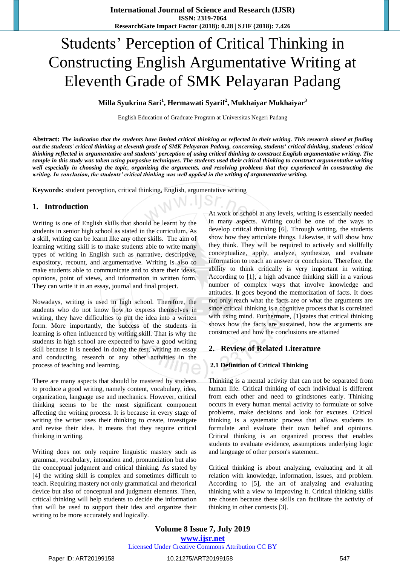# Students' Perception of Critical Thinking in Constructing English Argumentative Writing at Eleventh Grade of SMK Pelayaran Padang

**Milla Syukrina Sari<sup>1</sup> , Hermawati Syarif<sup>2</sup> , Mukhaiyar Mukhaiyar<sup>3</sup>**

English Education of Graduate Program at Universitas Negeri Padang

**Abstract:** *The indication that the students have limited critical thinking as reflected in their writing. This research aimed at finding out the students' critical thinking at eleventh grade of SMK Pelayaran Padang, concerning, students' critical thinking, students' critical thinking reflected in argumentative and students' perception of using critical thinking to construct English argumentative writing. The sample in this study was taken using purposive techniques. The students used their critical thinking to construct argumentative writing well especially in choosing the topic, organizing the arguments, and resolving problems that they experienced in constructing the writing. In conclusion, the students' critical thinking was well applied in the writing of argumentative writing.*

**Keywords:** student perception, critical thinking, English, argumentative writing

## **1. Introduction**

Writing is one of English skills that should be learnt by the students in senior high school as stated in the curriculum. As a skill, writing can be learnt like any other skills. The aim of learning writing skill is to make students able to write many types of writing in English such as narrative, descriptive, expository, recount, and argumentative. Writing is also to make students able to communicate and to share their ideas, opinions, point of views, and information in written form. They can write it in an essay, journal and final project.

Nowadays, writing is used in high school. Therefore, the students who do not know how to express themselves in writing, they have difficulties to put the idea into a written form. More importantly, the success of the students in learning is often influenced by writing skill. That is why the students in high school are expected to have a good writing skill because it is needed in doing the test, writing an essay and conducting, research or any other activities in the process of teaching and learning.

There are many aspects that should be mastered by students to produce a good writing, namely content, vocabulary, idea, organization, language use and mechanics. However, critical thinking seems to be the most significant component affecting the writing process. It is because in every stage of writing the writer uses their thinking to create, investigate and revise their idea. It means that they require critical thinking in writing.

Writing does not only require linguistic mastery such as grammar, vocabulary, intonation and, pronunciation but also the conceptual judgment and critical thinking. As stated by [4] the writing skill is complex and sometimes difficult to teach. Requiring mastery not only grammatical and rhetorical device but also of conceptual and judgment elements. Then, critical thinking will help students to decide the information that will be used to support their idea and organize their writing to be more accurately and logically.

At work or school at any levels, writing is essentially needed in many aspects. Writing could be one of the ways to develop critical thinking [6]. Through writing, the students show how they articulate things. Likewise, it will show how they think. They will be required to actively and skillfully conceptualize, apply, analyze, synthesize, and evaluate information to reach an answer or conclusion. Therefore, the ability to think critically is very important in writing. According to [1], a high advance thinking skill in a various number of complex ways that involve knowledge and attitudes. It goes beyond the memorization of facts. It does not only reach what the facts are or what the arguments are since critical thinking is a cognitive process that is correlated with using mind. Furthermore, [1] states that critical thinking shows how the facts are sustained, how the arguments are constructed and how the conclusions are attained

## **2. Review of Related Literature**

#### **2.1 Definition of Critical Thinking**

Thinking is a mental activity that can not be separated from human life. Critical thinking of each individual is different from each other and need to grindstones early. Thinking occurs in every human mental activity to formulate or solve problems, make decisions and look for excuses. Critical thinking is a systematic process that allows students to formulate and evaluate their own belief and opinions. Critical thinking is an organized process that enables students to evaluate evidence, assumptions underlying logic and language of other person's statement.

Critical thinking is about analyzing, evaluating and it all relation with knowledge, information, issues, and problem. According to [5], the art of analyzing and evaluating thinking with a view to improving it. Critical thinking skills are chosen because these skills can facilitate the activity of thinking in other contexts [3].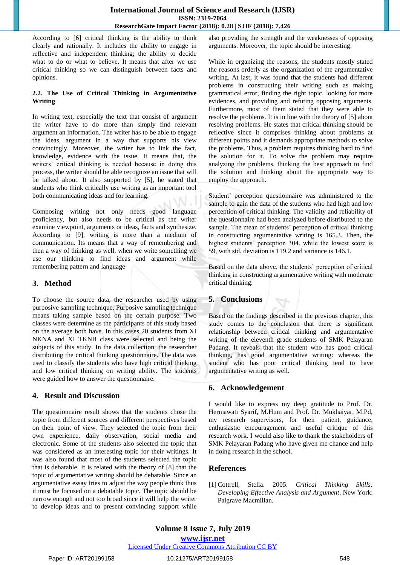#### **International Journal of Science and Research (IJSR) ISSN: 2319-7064 ResearchGate Impact Factor (2018): 0.28 | SJIF (2018): 7.426**

According to [6] critical thinking is the ability to think clearly and rationally. It includes the ability to engage in reflective and independent thinking; the ability to decide what to do or what to believe. It means that after we use critical thinking so we can distinguish between facts and opinions.

#### **2.2. The Use of Critical Thinking in Argumentative Writing**

In writing text, especially the text that consist of argument the writer have to do more than simply find relevant argument an information. The writer has to be able to engage the ideas, argument in a way that supports his view convincingly. Moreover, the writer has to link the fact, knowledge, evidence with the issue. It means that, the writers' critical thinking is needed because in doing this process, the writer should be able recognize an issue that will be talked about. It also supported by [5], he stated that students who think critically use writing as an important tool both communicating ideas and for learning.

Composing writing not only needs good language proficiency, but also needs to be critical as the writer examine viewpoint, arguments or ideas, facts and synthesize. According to [9], writing is more than a medium of communication. Its means that a way of remembering and then a way of thinking as well, when we write something we use our thinking to find ideas and argument while remembering pattern and language

# **3. Method**

To choose the source data, the researcher used by using purposive sampling technique. Purposive sampling technique means taking sample based on the certain purpose. Two classes were determine as the participants of this study based on the average both have. In this cases 20 students from XI NKNA and XI TKNB class were selected and being the subjects of this study. In the data collection, the researcher distributing the critical thinking questionnaire. The data was used to classify the students who have high critical thinking and low critical thinking on writing ability. The students were guided how to answer the questionnaire.

## **4. Result and Discussion**

The questionnaire result shows that the students chose the topic from different sources and different perspectives based on their point of view. They selected the topic from their own experience, daily observation, social media and electronic. Some of the students also selected the topic that was considered as an interesting topic for their writings. It was also found that most of the students selected the topic that is debatable. It is related with the theory of [8] that the topic of argumentative writing should be debatable. Since an argumentative essay tries to adjust the way people think thus it must be focused on a debatable topic. The topic should be narrow enough and not too broad since it will help the writer to develop ideas and to present convincing support while

also providing the strength and the weaknesses of opposing arguments. Moreover, the topic should be interesting.

While in organizing the reasons, the students mostly stated the reasons orderly as the organization of the argumentative writing. At last, it was found that the students had different problems in constructing their writing such as making grammatical error, finding the right topic, looking for more evidences, and providing and refuting opposing arguments. Furthermore, most of them stated that they were able to resolve the problems. It is in line with the theory of [5] about resolving problems. He states that critical thinking should be reflective since it comprises thinking about problems at different points and it demands appropriate methods to solve the problems. Thus, a problem requires thinking hard to find the solution for it. To solve the problem may require analyzing the problems, thinking the best approach to find the solution and thinking about the appropriate way to employ the approach.

Student' perception questionnaire was administered to the sample to gain the data of the students who had high and low perception of critical thinking. The validity and reliability of the questionnaire had been analyzed before distributed to the sample. The mean of students' perception of critical thinking in constructing argumentative writing is 165.3. Then, the highest students' perception 304, while the lowest score is 59, with std. deviation is 119.2 and variance is 146.1.

Based on the data above, the students' perception of critical thinking in constructing argumentative writing with moderate critical thinking.

# **5. Conclusions**

Based on the findings described in the previous chapter, this study comes to the conclusion that there is significant relationship between critical thinking and argumentative writing of the eleventh grade students of SMK Pelayaran Padang. It reveals that the student who has good critical thinking, has good argumentative writing: whereas the student who has poor critical thinking tend to have argumentative writing as well.

# **6. Acknowledgement**

I would like to express my deep gratitude to Prof. Dr. Hermawati Syarif, M.Hum and Prof. Dr. Mukhaiyar, M.Pd, my research supervisors, for their patient, guidance, enthusiastic encouragement and useful critique of this research work. I would also like to thank the stakeholders of SMK Pelayaran Padang who have given me chance and help in doing research in the school.

# **References**

[1] Cottrell, Stella. 2005. *Critical Thinking Skills: Developing Effective Analysis and Argument*. New York: Palgrave Macmillan.

#### Licensed Under Creative Commons Attribution CC BY